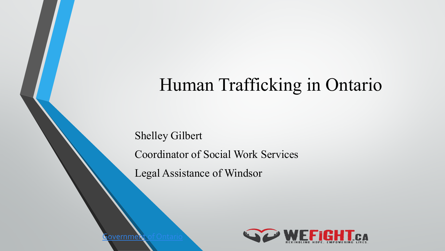### Human Trafficking in Ontario

Shelley Gilbert Coordinator of Social Work Services Legal Assistance of Windsor



 $\mathsf F$ overnmen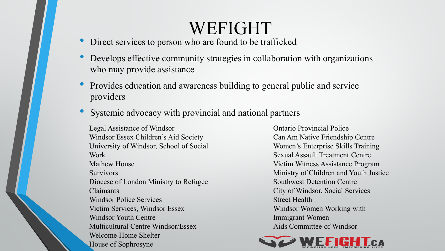### WEFIGHT

- Direct services to person who are found to be trafficked
- Develops effective community strategies in collaboration with organizations who may provide assistance
- Provides education and awareness building to general public and service providers
- Systemic advocacy with provincial and national partners

Legal Assistance of Windsor Windsor Essex Children's Aid Society University of Windsor, School of Social Work Mathew House **Survivors** Diocese of London Ministry to Refugee Claimants Windsor Police Services Victim Services, Windsor Essex Windsor Youth Centre Multicultural Centre Windsor/Essex Welcome Home Shelter House of Sophrosyne

Ontario Provincial Police Can Am Native Friendship Centre Women's Enterprise Skills Training Sexual Assault Treatment Centre Victim Witness Assistance Program Ministry of Children and Youth Justice Southwest Detention Centre City of Windsor, Social Services Street Health Windsor Women Working with Immigrant Women Aids Committee of Windsor

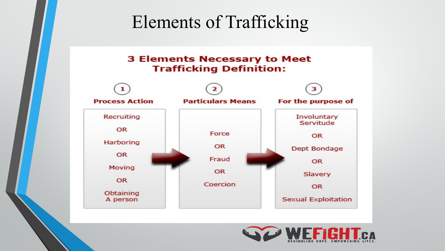### Elements of Trafficking

#### **3 Elements Necessary to Meet Trafficking Definition:**



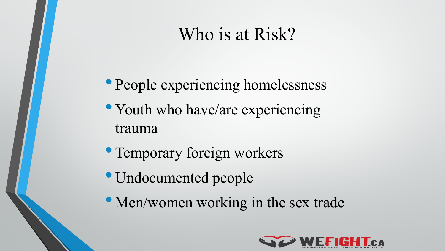### Who is at Risk?

- People experiencing homelessness
- Youth who have/are experiencing trauma
- Temporary foreign workers
- Undocumented people
- Men/women working in the sex trade

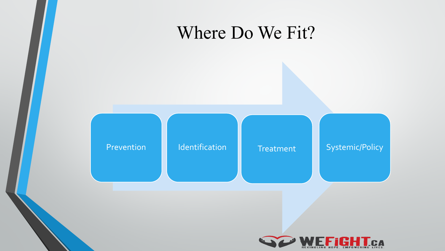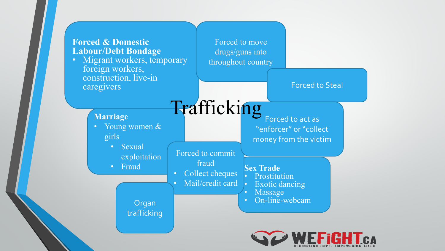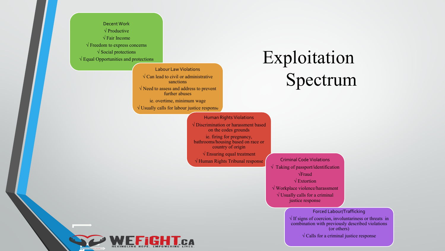Decent Work √ Productive √ Fair Income  $\sqrt{\text{Freedom}}$  to express concerns  $\sqrt{\ }$  Social protections √ Equal Opportunities and protections

> Labour Law Violations  $\sqrt{\text{Can lead to civil or administrative}}$ sanctions √ Need to assess and address to prevent further abuses ie. overtime, minimum wage  $\sqrt{}$  Usually calls for labour justice response

### Exploitation Spectrum

Human Rights Violations √ Discrimination or harassment based on the codes grounds ie. firing for pregnancy, bathrooms/housing based on race or country of origin  $\sqrt{\text{Ensuring equal treatment}}$ √ Human Rights Tribunal response Criminal Code Violations

√ Taking of passport/identification √Fraud √ Extortion √ Workplace violence/harassment  $\sqrt{}$  Usually calls for a criminal justice response

#### Forced Labour/Trafficking

 $\sqrt{1}$  If signs of coercion, involuntariness or threats in combination with previously described violations (or others)  $\sqrt{\text{Calls}}$  for a criminal justice response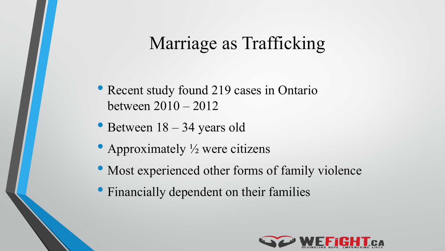### Marriage as Trafficking

- Recent study found 219 cases in Ontario between 2010 – 2012
- Between  $18 34$  years old
- Approximately  $\frac{1}{2}$  were citizens
- Most experienced other forms of family violence
- Financially dependent on their families

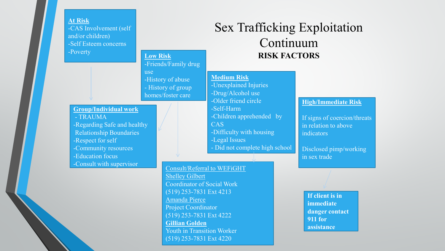#### **At Risk**

-CAS Involvement (self and/or children) -Self Esteem concerns -Poverty **Low Risk**

#### -Friends/Family drug

use -History of abuse - History of group homes/foster care

#### **Group/Individual work**

- TRAUMA -Regarding Safe and healthy Relationship Boundaries -Respect for self -Community resources -Education focus -Consult with supervisor<br>Consult/Referral to WEFIGHT

#### Sex Trafficking Exploitation Continuum **RISK FACTORS**

#### **Medium Risk**

-Unexplained Injuries -Drug/Alcohol use

- -Older friend circle
- -Self-Harm -Children apprehended by
- CAS
- -Difficulty with housing
- -Legal Issues
- Did not complete high school

#### Shelley Gilbert Coordinator of Social Work

(519) 253-7831 Ext 4213 Amanda Pierce Project Coordinator (519) 253-7831 Ext 4222 **Gillian Golden**  Youth in Transition Worker (519) 253-7831 Ext 4220

#### **High/Immediate Risk**

If signs of coercion/threats in relation to above indicators

Disclosed pimp/working in sex trade

**If client is in immediate danger contact 911 for assistance**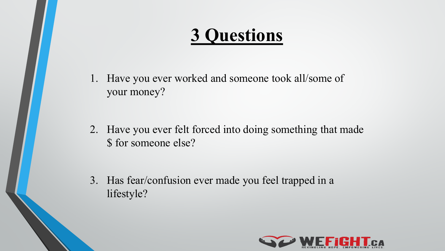# **3 Questions**

1. Have you ever worked and someone took all/some of your money?

2. Have you ever felt forced into doing something that made \$ for someone else?

3. Has fear/confusion ever made you feel trapped in a lifestyle?

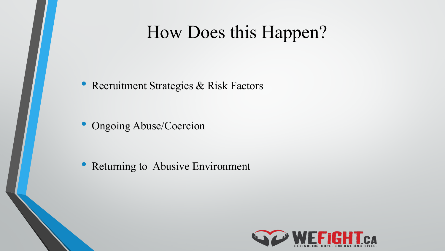### How Does this Happen?

• Recruitment Strategies & Risk Factors

• Ongoing Abuse/Coercion

• Returning to Abusive Environment

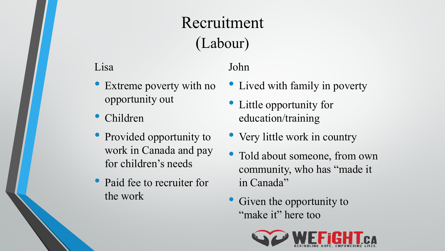### Recruitment (Labour)

#### Lisa

- Extreme poverty with no opportunity out
- Children
- Provided opportunity to work in Canada and pay for children's needs
- Paid fee to recruiter for the work

#### John

- Lived with family in poverty
- Little opportunity for education/training
- Very little work in country
- Told about someone, from own community, who has "made it in Canada"
- Given the opportunity to "make it" here too

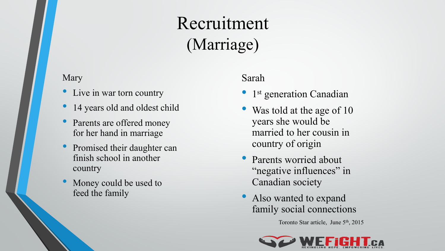### Recruitment (Marriage)

#### Mary

- Live in war torn country
- 14 years old and oldest child
- Parents are offered money for her hand in marriage
- Promised their daughter can finish school in another country
- Money could be used to feed the family

#### Sarah

- 1<sup>st</sup> generation Canadian
- Was told at the age of 10 years she would be married to her cousin in country of origin
- Parents worried about "negative influences" in Canadian society
- Also wanted to expand family social connections

Toronto Star article, June 5<sup>th</sup>, 2015

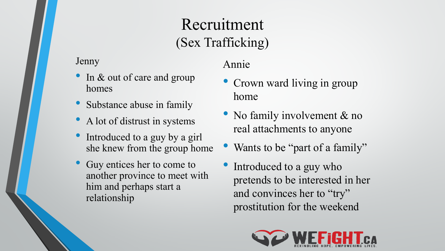### Recruitment (Sex Trafficking)

Jenny

- In & out of care and group homes
- Substance abuse in family
- A lot of distrust in systems
- Introduced to a guy by a girl she knew from the group home
- Guy entices her to come to another province to meet with him and perhaps start a relationship

#### Annie

- Crown ward living in group home
- No family involvement & no real attachments to anyone
- Wants to be "part of a family"
- Introduced to a guy who pretends to be interested in her and convinces her to "try" prostitution for the weekend

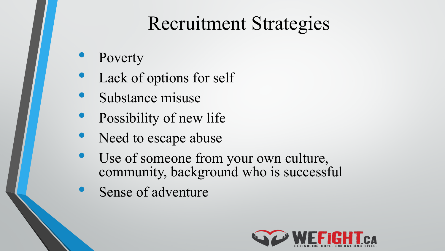# Recruitment Strategies

- Poverty
- Lack of options for self
- Substance misuse
- Possibility of new life
- Need to escape abuse
- Use of someone from your own culture, community, background who is successful
- Sense of adventure

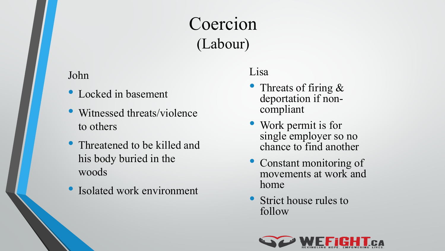### Coercion (Labour)

#### John

- Locked in basement
- Witnessed threats/violence to others
- Threatened to be killed and his body buried in the woods
- Isolated work environment

#### Lisa

- Threats of firing  $&$ deportation if non-<br>compliant
- Work permit is for single employer so no chance to find another
- Constant monitoring of movements at work and home
- Strict house rules to follow

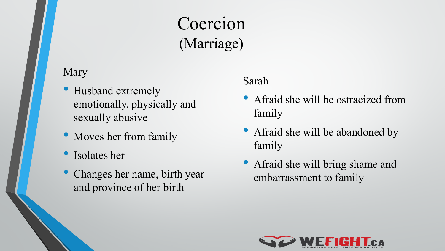### Coercion (Marriage)

#### Mary

- Husband extremely emotionally, physically and sexually abusive
- Moves her from family
- Isolates her
- Changes her name, birth year and province of her birth

#### Sarah

- Afraid she will be ostracized from family
- Afraid she will be abandoned by family
- Afraid she will bring shame and embarrassment to family

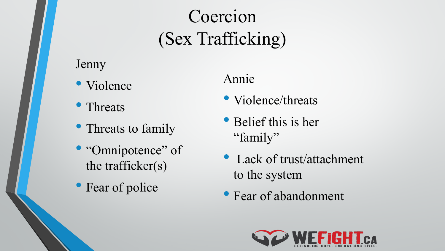# Coercion (Sex Trafficking)

Jenny

- Violence
- Threats
- Threats to family
- "Omnipotence" of the trafficker(s)
- Fear of police

### Annie

- Violence/threats
- Belief this is her "family"
- Lack of trust/attachment to the system
- Fear of abandonment

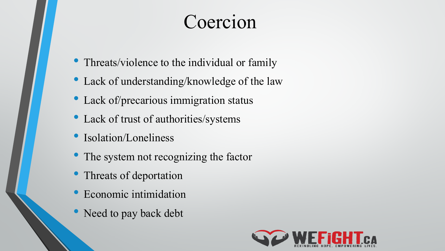# Coercion

- Threats/violence to the individual or family
- Lack of understanding/knowledge of the law
- Lack of/precarious immigration status
- Lack of trust of authorities/systems
- Isolation/Loneliness
- The system not recognizing the factor
- Threats of deportation
- Economic intimidation
- Need to pay back debt

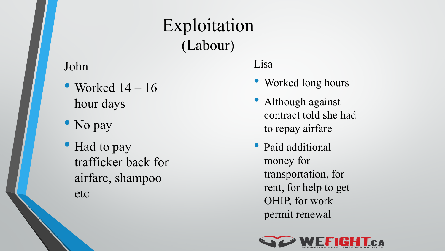#### John

- Worked  $14 16$ hour days
- No pay
- Had to pay trafficker back for airfare, shampoo etc

#### Lisa

Exploitation

(Labour)

- Worked long hours
- Although against contract told she had to repay airfare
- Paid additional money for transportation, for rent, for help to get OHIP, for work permit renewal

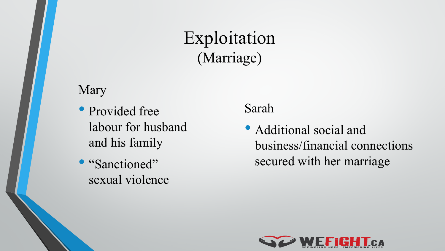### Exploitation (Marriage)

#### Mary

- Provided free labour for husband and his family
- "Sanctioned" sexual violence

#### Sarah

• Additional social and business/financial connections secured with her marriage

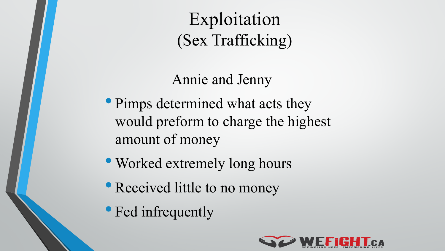Exploitation (Sex Trafficking)

### Annie and Jenny

- Pimps determined what acts they would preform to charge the highest amount of money
- Worked extremely long hours
- Received little to no money
- Fed infrequently

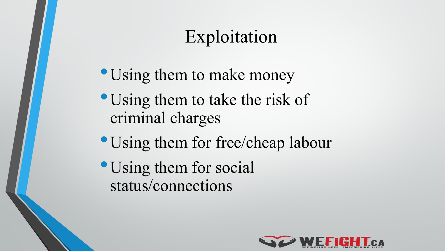# Exploitation

- Using them to make money
- Using them to take the risk of criminal charges
- Using them for free/cheap labour
- •Using them for social status/connections

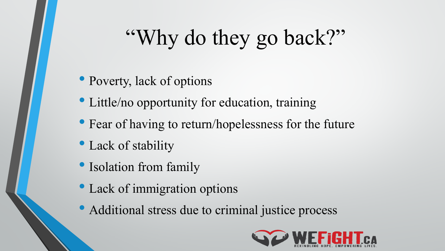# "Why do they go back?"

- Poverty, lack of options
- Little/no opportunity for education, training
- Fear of having to return/hopelessness for the future
- Lack of stability
- Isolation from family
- Lack of immigration options
- Additional stress due to criminal justice process

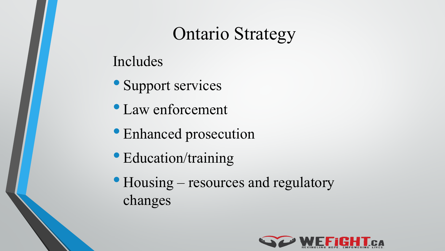### Ontario Strategy

### Includes

- Support services
- Law enforcement
- Enhanced prosecution
- Education/training
- Housing resources and regulatory changes

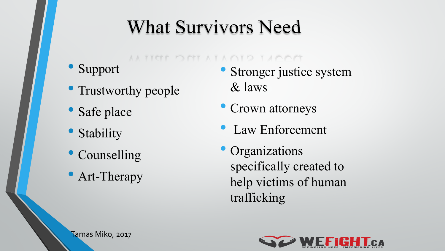# **What Survivors Need**

DAT AT A QTD T ACCA

- **Support**
- Trustworthy people
- Safe place
- Stability
- Counselling
- Art-Therapy
- Stronger justice system & laws
- Crown attorneys
- Law Enforcement
- Organizations specifically created to help victims of human trafficking



Tamas Miko, 2017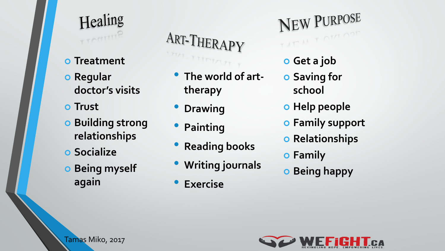

- **o** Treatment
- **o** Regular **doctor's visits**
- **Trust**
- **Building strong relationships**
- **Socialize**
- **Being myself again**

ART-THERAPY TITTITAT

- **The world of arttherapy**
- **Drawing**
- **Painting**
- **Reading books**
- **Writing journals**
- **Exercise**

NEW PURPOSE TAT M T OM OPT

- **Get a job**
- **Saving for school**
- **o** Help people
- **Family support**
- **o** Relationships
- **Family**
- **Being happy**



Tamas Miko, 2017